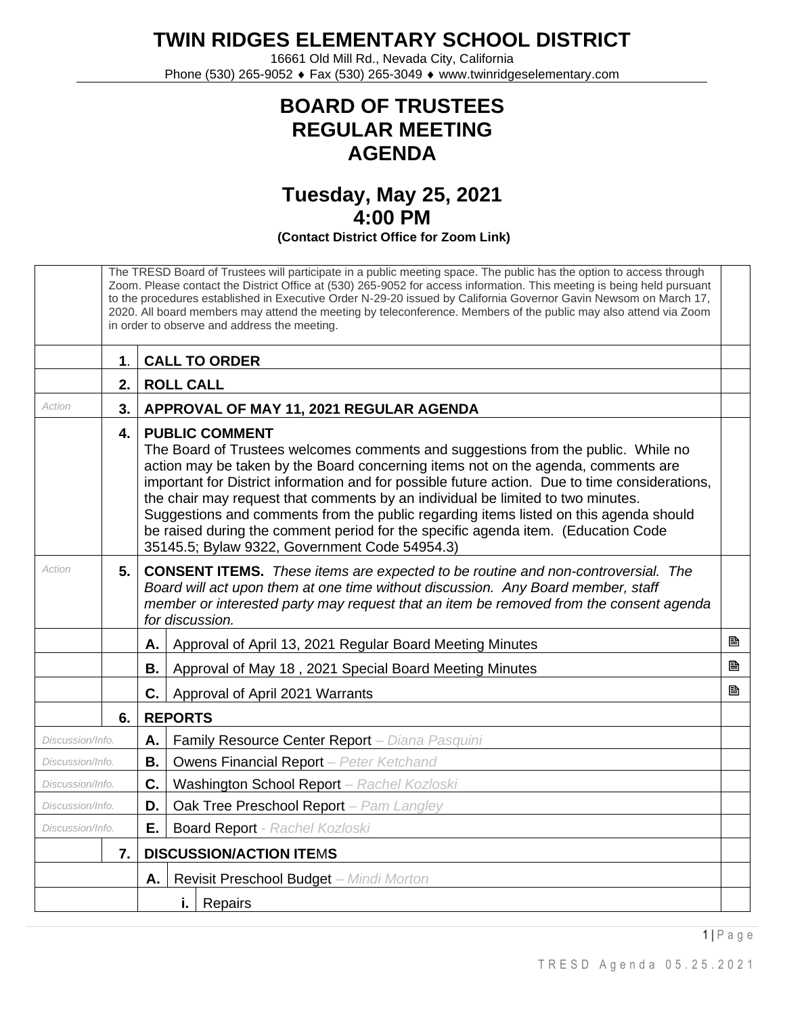**TWIN RIDGES ELEMENTARY SCHOOL DISTRICT**

16661 Old Mill Rd., Nevada City, California Phone (530) 265-9052 ♦ Fax (530) 265-3049 ♦ www.twinridgeselementary.com

## **BOARD OF TRUSTEES REGULAR MEETING AGENDA**

## **Tuesday, May 25, 2021 4:00 PM (Contact District Office for Zoom Link)**

The TRESD Board of Trustees will participate in a public meeting space. The public has the option to access through Zoom. Please contact the District Office at (530) 265-9052 for access information. This meeting is being held pursuant to the procedures established in Executive Order N-29-20 issued by California Governor Gavin Newsom on March 17, 2020. All board members may attend the meeting by teleconference. Members of the public may also attend via Zoom in order to observe and address the meeting. **1**. **CALL TO ORDER 2. ROLL CALL** Action **1 3. APPROVAL OF MAY 11, 2021 REGULAR AGENDA 4. PUBLIC COMMENT** The Board of Trustees welcomes comments and suggestions from the public. While no action may be taken by the Board concerning items not on the agenda, comments are important for District information and for possible future action. Due to time considerations, the chair may request that comments by an individual be limited to two minutes. Suggestions and comments from the public regarding items listed on this agenda should be raised during the comment period for the specific agenda item. (Education Code 35145.5; Bylaw 9322, Government Code 54954.3) *Action* **5. CONSENT ITEMS.** *These items are expected to be routine and non-controversial. The Board will act upon them at one time without discussion. Any Board member, staff member or interested party may request that an item be removed from the consent agenda for discussion.* **A.** Approval of April 13, 2021 Regular Board Meeting Minutes **Buff Buff Buff Buff Buff Buff Buff Buff Buff Buff Buff Buff Buff Buff Buff Buff Buff Buff Buff Buff Buff Buff Buff B.** Approval of May 18, 2021 Special Board Meeting Minutes **Buff Buff Buff Buff Buff Buff Buff Buff Buff Buff Buff Buff Buff Buff Buff Buff Buff Buff Buff Buff Buff Buff Buff C.** Approval of April 2021 Warrants **Minimizing and April 2021** Warrants **Minimizing and April 2021** Marrants **Minimizing and April 2021** Marrants **Minimizing and April 2021** Marrants **Minimizing and April 2021** Marrants **6. REPORTS** *Discussion/Info.* **A.** Family Resource Center Report – *Diana Pasquini Discussion/Info.* **B.** Owens Financial Report *– Peter Ketchand Discussion/Info.* **C.** Washington School Report – *Rachel Kozloski Discussion/Info.* **D.** Oak Tree Preschool Report *– Pam Langley Discussion/Info.* **E.** Board Report - *Rachel Kozloski* **7. DISCUSSION/ACTION ITE**M**S A.** Revisit Preschool Budget *– Mindi Morton* **i.** Repairs